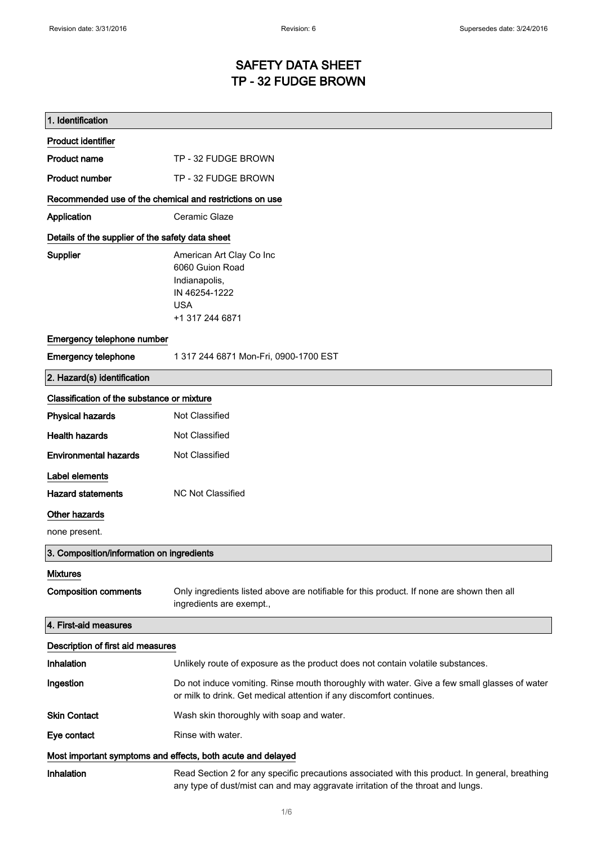## SAFETY DATA SHEET TP - 32 FUDGE BROWN

| 1. Identification                                           |                                                                                                                                                                                    |
|-------------------------------------------------------------|------------------------------------------------------------------------------------------------------------------------------------------------------------------------------------|
| <b>Product identifier</b>                                   |                                                                                                                                                                                    |
| <b>Product name</b>                                         | TP - 32 FUDGE BROWN                                                                                                                                                                |
| <b>Product number</b>                                       | TP - 32 FUDGE BROWN                                                                                                                                                                |
| Recommended use of the chemical and restrictions on use     |                                                                                                                                                                                    |
| Application                                                 | Ceramic Glaze                                                                                                                                                                      |
| Details of the supplier of the safety data sheet            |                                                                                                                                                                                    |
| Supplier                                                    | American Art Clay Co Inc<br>6060 Guion Road<br>Indianapolis,<br>IN 46254-1222<br><b>USA</b><br>+1 317 244 6871                                                                     |
| Emergency telephone number                                  |                                                                                                                                                                                    |
| <b>Emergency telephone</b>                                  | 1 317 244 6871 Mon-Fri, 0900-1700 EST                                                                                                                                              |
| 2. Hazard(s) identification                                 |                                                                                                                                                                                    |
| Classification of the substance or mixture                  |                                                                                                                                                                                    |
| <b>Physical hazards</b>                                     | Not Classified                                                                                                                                                                     |
| <b>Health hazards</b>                                       | Not Classified                                                                                                                                                                     |
| <b>Environmental hazards</b>                                | Not Classified                                                                                                                                                                     |
| Label elements                                              |                                                                                                                                                                                    |
| <b>Hazard statements</b>                                    | <b>NC Not Classified</b>                                                                                                                                                           |
| Other hazards                                               |                                                                                                                                                                                    |
| none present.                                               |                                                                                                                                                                                    |
| 3. Composition/information on ingredients                   |                                                                                                                                                                                    |
| <b>Mixtures</b>                                             |                                                                                                                                                                                    |
| <b>Composition comments</b>                                 | Only ingredients listed above are notifiable for this product. If none are shown then all<br>ingredients are exempt.,                                                              |
| 4. First-aid measures                                       |                                                                                                                                                                                    |
| Description of first aid measures                           |                                                                                                                                                                                    |
| Inhalation                                                  | Unlikely route of exposure as the product does not contain volatile substances.                                                                                                    |
| Ingestion                                                   | Do not induce vomiting. Rinse mouth thoroughly with water. Give a few small glasses of water<br>or milk to drink. Get medical attention if any discomfort continues.               |
| <b>Skin Contact</b>                                         | Wash skin thoroughly with soap and water.                                                                                                                                          |
| Eye contact                                                 | Rinse with water.                                                                                                                                                                  |
| Most important symptoms and effects, both acute and delayed |                                                                                                                                                                                    |
| Inhalation                                                  | Read Section 2 for any specific precautions associated with this product. In general, breathing<br>any type of dust/mist can and may aggravate irritation of the throat and lungs. |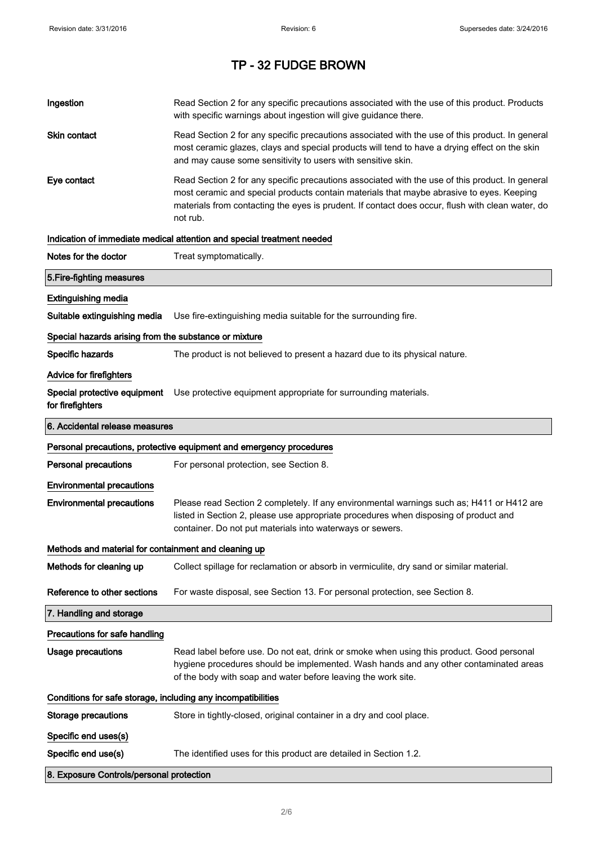| Ingestion                                                    | Read Section 2 for any specific precautions associated with the use of this product. Products<br>with specific warnings about ingestion will give guidance there.                                                                                                                                           |  |
|--------------------------------------------------------------|-------------------------------------------------------------------------------------------------------------------------------------------------------------------------------------------------------------------------------------------------------------------------------------------------------------|--|
| Skin contact                                                 | Read Section 2 for any specific precautions associated with the use of this product. In general<br>most ceramic glazes, clays and special products will tend to have a drying effect on the skin<br>and may cause some sensitivity to users with sensitive skin.                                            |  |
| Eye contact                                                  | Read Section 2 for any specific precautions associated with the use of this product. In general<br>most ceramic and special products contain materials that maybe abrasive to eyes. Keeping<br>materials from contacting the eyes is prudent. If contact does occur, flush with clean water, do<br>not rub. |  |
|                                                              | Indication of immediate medical attention and special treatment needed                                                                                                                                                                                                                                      |  |
| Notes for the doctor                                         | Treat symptomatically.                                                                                                                                                                                                                                                                                      |  |
| 5. Fire-fighting measures                                    |                                                                                                                                                                                                                                                                                                             |  |
| <b>Extinguishing media</b>                                   |                                                                                                                                                                                                                                                                                                             |  |
| Suitable extinguishing media                                 | Use fire-extinguishing media suitable for the surrounding fire.                                                                                                                                                                                                                                             |  |
| Special hazards arising from the substance or mixture        |                                                                                                                                                                                                                                                                                                             |  |
| Specific hazards                                             | The product is not believed to present a hazard due to its physical nature.                                                                                                                                                                                                                                 |  |
| <b>Advice for firefighters</b>                               |                                                                                                                                                                                                                                                                                                             |  |
| for firefighters                                             | Special protective equipment Use protective equipment appropriate for surrounding materials.                                                                                                                                                                                                                |  |
| 6. Accidental release measures                               |                                                                                                                                                                                                                                                                                                             |  |
|                                                              | Personal precautions, protective equipment and emergency procedures                                                                                                                                                                                                                                         |  |
| <b>Personal precautions</b>                                  | For personal protection, see Section 8.                                                                                                                                                                                                                                                                     |  |
| <b>Environmental precautions</b>                             |                                                                                                                                                                                                                                                                                                             |  |
| <b>Environmental precautions</b>                             | Please read Section 2 completely. If any environmental warnings such as; H411 or H412 are<br>listed in Section 2, please use appropriate procedures when disposing of product and<br>container. Do not put materials into waterways or sewers.                                                              |  |
| Methods and material for containment and cleaning up         |                                                                                                                                                                                                                                                                                                             |  |
| Methods for cleaning up                                      | Collect spillage for reclamation or absorb in vermiculite, dry sand or similar material.                                                                                                                                                                                                                    |  |
| Reference to other sections                                  | For waste disposal, see Section 13. For personal protection, see Section 8.                                                                                                                                                                                                                                 |  |
| 7. Handling and storage                                      |                                                                                                                                                                                                                                                                                                             |  |
| Precautions for safe handling                                |                                                                                                                                                                                                                                                                                                             |  |
| Usage precautions                                            | Read label before use. Do not eat, drink or smoke when using this product. Good personal<br>hygiene procedures should be implemented. Wash hands and any other contaminated areas<br>of the body with soap and water before leaving the work site.                                                          |  |
| Conditions for safe storage, including any incompatibilities |                                                                                                                                                                                                                                                                                                             |  |
| <b>Storage precautions</b>                                   | Store in tightly-closed, original container in a dry and cool place.                                                                                                                                                                                                                                        |  |
| Specific end uses(s)                                         |                                                                                                                                                                                                                                                                                                             |  |
| Specific end use(s)                                          | The identified uses for this product are detailed in Section 1.2.                                                                                                                                                                                                                                           |  |
| 8. Exposure Controls/personal protection                     |                                                                                                                                                                                                                                                                                                             |  |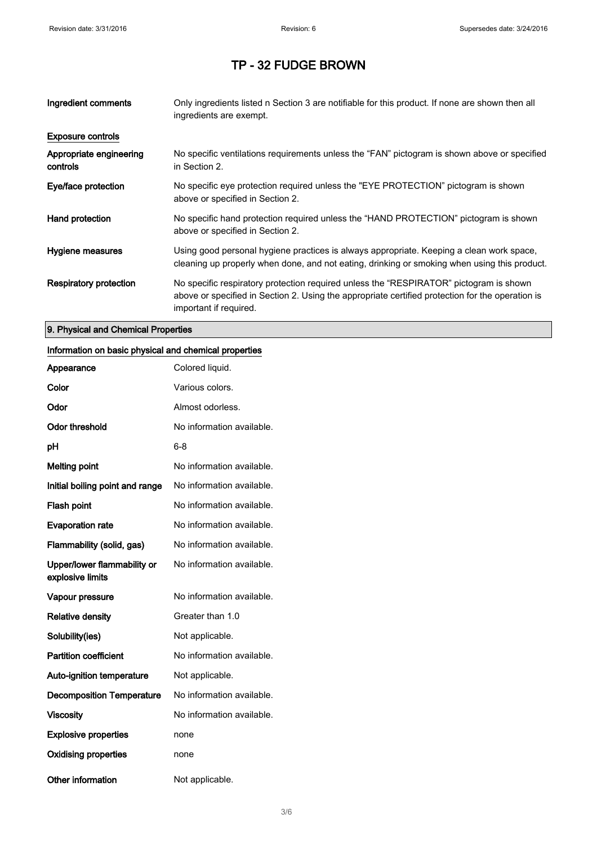| Ingredient comments                 | Only ingredients listed n Section 3 are notifiable for this product. If none are shown then all<br>ingredients are exempt.                                                                                           |
|-------------------------------------|----------------------------------------------------------------------------------------------------------------------------------------------------------------------------------------------------------------------|
| <b>Exposure controls</b>            |                                                                                                                                                                                                                      |
| Appropriate engineering<br>controls | No specific ventilations requirements unless the "FAN" pictogram is shown above or specified<br>in Section 2.                                                                                                        |
| Eye/face protection                 | No specific eye protection required unless the "EYE PROTECTION" pictogram is shown<br>above or specified in Section 2.                                                                                               |
| Hand protection                     | No specific hand protection required unless the "HAND PROTECTION" pictogram is shown<br>above or specified in Section 2.                                                                                             |
| Hygiene measures                    | Using good personal hygiene practices is always appropriate. Keeping a clean work space,<br>cleaning up properly when done, and not eating, drinking or smoking when using this product.                             |
| Respiratory protection              | No specific respiratory protection required unless the "RESPIRATOR" pictogram is shown<br>above or specified in Section 2. Using the appropriate certified protection for the operation is<br>important if required. |

### 9. Physical and Chemical Properties

#### Information on basic physical and chemical properties

| Appearance                                      | Colored liquid.           |
|-------------------------------------------------|---------------------------|
| Color                                           | Various colors.           |
| Odor                                            | Almost odorless.          |
| <b>Odor threshold</b>                           | No information available. |
| рH                                              | 6-8                       |
| <b>Melting point</b>                            | No information available. |
| Initial boiling point and range                 | No information available. |
| Flash point                                     | No information available. |
| <b>Evaporation rate</b>                         | No information available. |
| Flammability (solid, gas)                       | No information available. |
| Upper/lower flammability or<br>explosive limits | No information available. |
| Vapour pressure                                 | No information available. |
| <b>Relative density</b>                         | Greater than 1.0          |
| Solubility(ies)                                 | Not applicable.           |
| <b>Partition coefficient</b>                    | No information available. |
| <b>Auto-ignition temperature</b>                | Not applicable.           |
| <b>Decomposition Temperature</b>                | No information available. |
| <b>Viscosity</b>                                | No information available. |
| <b>Explosive properties</b>                     | none                      |
| <b>Oxidising properties</b>                     | none                      |
| Other information                               | Not applicable.           |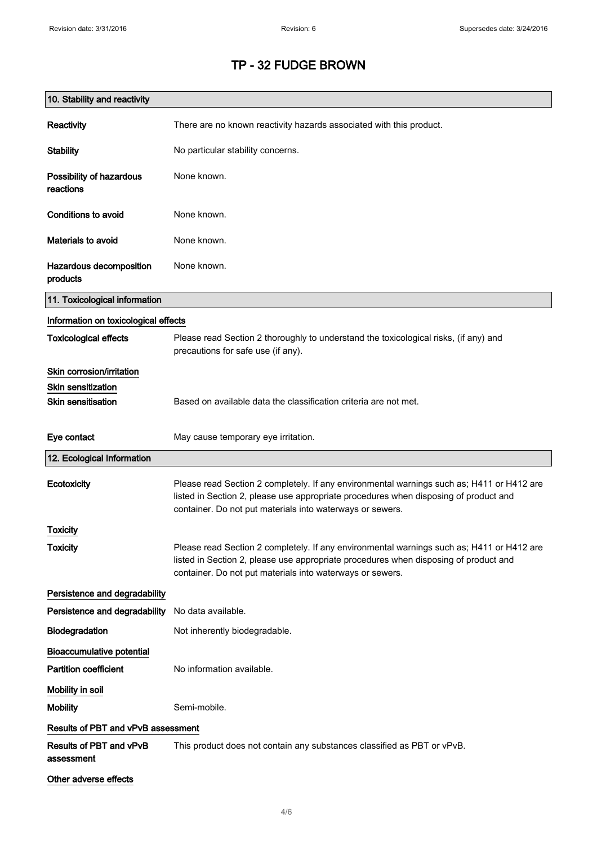| 10. Stability and reactivity          |                                                                                                                                                                                                                                                |
|---------------------------------------|------------------------------------------------------------------------------------------------------------------------------------------------------------------------------------------------------------------------------------------------|
| Reactivity                            | There are no known reactivity hazards associated with this product.                                                                                                                                                                            |
| <b>Stability</b>                      | No particular stability concerns.                                                                                                                                                                                                              |
| Possibility of hazardous<br>reactions | None known.                                                                                                                                                                                                                                    |
| <b>Conditions to avoid</b>            | None known.                                                                                                                                                                                                                                    |
| Materials to avoid                    | None known.                                                                                                                                                                                                                                    |
| Hazardous decomposition<br>products   | None known.                                                                                                                                                                                                                                    |
| 11. Toxicological information         |                                                                                                                                                                                                                                                |
| Information on toxicological effects  |                                                                                                                                                                                                                                                |
| <b>Toxicological effects</b>          | Please read Section 2 thoroughly to understand the toxicological risks, (if any) and<br>precautions for safe use (if any).                                                                                                                     |
| Skin corrosion/irritation             |                                                                                                                                                                                                                                                |
| Skin sensitization                    |                                                                                                                                                                                                                                                |
| <b>Skin sensitisation</b>             | Based on available data the classification criteria are not met.                                                                                                                                                                               |
| Eye contact                           | May cause temporary eye irritation.                                                                                                                                                                                                            |
| 12. Ecological Information            |                                                                                                                                                                                                                                                |
| Ecotoxicity                           | Please read Section 2 completely. If any environmental warnings such as; H411 or H412 are<br>listed in Section 2, please use appropriate procedures when disposing of product and<br>container. Do not put materials into waterways or sewers. |
| <b>Toxicity</b>                       |                                                                                                                                                                                                                                                |
| <b>Toxicity</b>                       | Please read Section 2 completely. If any environmental warnings such as; H411 or H412 are<br>listed in Section 2, please use appropriate procedures when disposing of product and<br>container. Do not put materials into waterways or sewers. |
| Persistence and degradability         |                                                                                                                                                                                                                                                |
| Persistence and degradability         | No data available.                                                                                                                                                                                                                             |
| Biodegradation                        | Not inherently biodegradable.                                                                                                                                                                                                                  |
| <b>Bioaccumulative potential</b>      |                                                                                                                                                                                                                                                |
| <b>Partition coefficient</b>          | No information available.                                                                                                                                                                                                                      |
| Mobility in soil                      |                                                                                                                                                                                                                                                |
| <b>Mobility</b>                       | Semi-mobile.                                                                                                                                                                                                                                   |
| Results of PBT and vPvB assessment    |                                                                                                                                                                                                                                                |
| Results of PBT and vPvB<br>assessment | This product does not contain any substances classified as PBT or vPvB.                                                                                                                                                                        |
| Other adverse effects                 |                                                                                                                                                                                                                                                |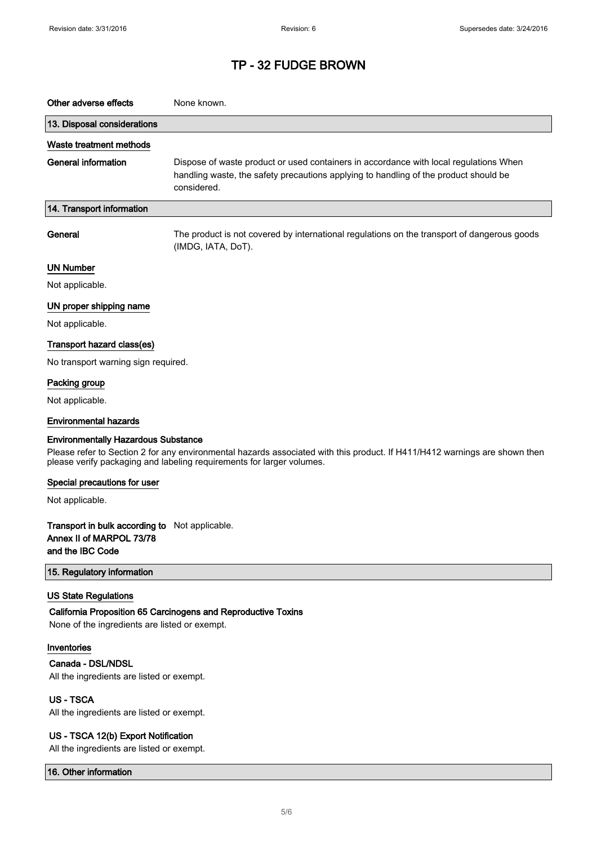| Other adverse effects                                                                                 | None known.                                                                                                                                                                                         |  |
|-------------------------------------------------------------------------------------------------------|-----------------------------------------------------------------------------------------------------------------------------------------------------------------------------------------------------|--|
| 13. Disposal considerations                                                                           |                                                                                                                                                                                                     |  |
| Waste treatment methods                                                                               |                                                                                                                                                                                                     |  |
| <b>General information</b>                                                                            | Dispose of waste product or used containers in accordance with local regulations When<br>handling waste, the safety precautions applying to handling of the product should be<br>considered.        |  |
| 14. Transport information                                                                             |                                                                                                                                                                                                     |  |
| General                                                                                               | The product is not covered by international regulations on the transport of dangerous goods<br>(IMDG, IATA, DoT).                                                                                   |  |
| <b>UN Number</b>                                                                                      |                                                                                                                                                                                                     |  |
| Not applicable.                                                                                       |                                                                                                                                                                                                     |  |
| UN proper shipping name                                                                               |                                                                                                                                                                                                     |  |
| Not applicable.                                                                                       |                                                                                                                                                                                                     |  |
| Transport hazard class(es)                                                                            |                                                                                                                                                                                                     |  |
| No transport warning sign required.                                                                   |                                                                                                                                                                                                     |  |
| Packing group                                                                                         |                                                                                                                                                                                                     |  |
| Not applicable.                                                                                       |                                                                                                                                                                                                     |  |
| <b>Environmental hazards</b>                                                                          |                                                                                                                                                                                                     |  |
| <b>Environmentally Hazardous Substance</b>                                                            | Please refer to Section 2 for any environmental hazards associated with this product. If H411/H412 warnings are shown then<br>please verify packaging and labeling requirements for larger volumes. |  |
| Special precautions for user                                                                          |                                                                                                                                                                                                     |  |
| Not applicable.                                                                                       |                                                                                                                                                                                                     |  |
| <b>Transport in bulk according to</b> Not applicable.<br>Annex II of MARPOL 73/78<br>and the IBC Code |                                                                                                                                                                                                     |  |
| 15. Regulatory information                                                                            |                                                                                                                                                                                                     |  |
| <b>US State Regulations</b><br>None of the ingredients are listed or exempt.                          | California Proposition 65 Carcinogens and Reproductive Toxins                                                                                                                                       |  |
| Inventories                                                                                           |                                                                                                                                                                                                     |  |
| Canada - DSL/NDSL                                                                                     |                                                                                                                                                                                                     |  |
| All the ingredients are listed or exempt.                                                             |                                                                                                                                                                                                     |  |
| <b>US-TSCA</b><br>All the ingredients are listed or exempt.                                           |                                                                                                                                                                                                     |  |
| US - TSCA 12(b) Export Notification                                                                   |                                                                                                                                                                                                     |  |

All the ingredients are listed or exempt.

16. Other information